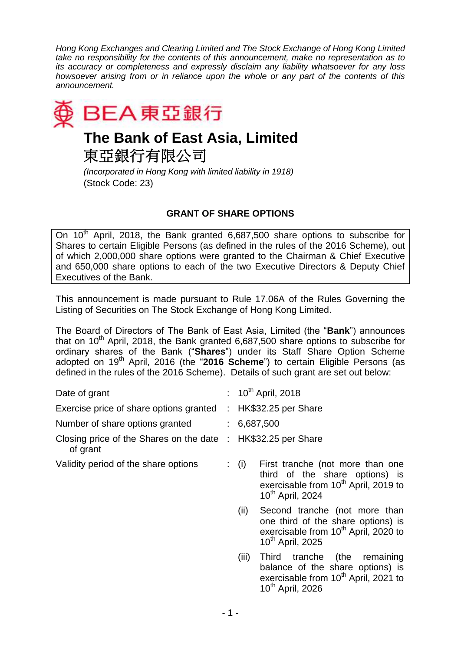*Hong Kong Exchanges and Clearing Limited and The Stock Exchange of Hong Kong Limited take no responsibility for the contents of this announcement, make no representation as to its accuracy or completeness and expressly disclaim any liability whatsoever for any loss howsoever arising from or in reliance upon the whole or any part of the contents of this announcement.*



## **The Bank of East Asia, Limited**

東亞銀行有限公司

*(Incorporated in Hong Kong with limited liability in 1918)* (Stock Code: 23)

## **GRANT OF SHARE OPTIONS**

On 10<sup>th</sup> April, 2018, the Bank granted 6,687,500 share options to subscribe for Shares to certain Eligible Persons (as defined in the rules of the 2016 Scheme), out of which 2,000,000 share options were granted to the Chairman & Chief Executive and 650,000 share options to each of the two Executive Directors & Deputy Chief Executives of the Bank.

This announcement is made pursuant to Rule 17.06A of the Rules Governing the Listing of Securities on The Stock Exchange of Hong Kong Limited.

The Board of Directors of The Bank of East Asia, Limited (the "**Bank**") announces that on  $10<sup>th</sup>$  April, 2018, the Bank granted 6,687,500 share options to subscribe for ordinary shares of the Bank ("**Shares**") under its Staff Share Option Scheme adopted on 19<sup>th</sup> April, 2016 (the "2016 Scheme") to certain Eligible Persons (as defined in the rules of the 2016 Scheme). Details of such grant are set out below:

| Date of grant                                       |                       | : $10^{th}$ April, 2018                                                                                                                                                |
|-----------------------------------------------------|-----------------------|------------------------------------------------------------------------------------------------------------------------------------------------------------------------|
| Exercise price of share options granted             | $\mathbb{Z}^{\times}$ | HK\$32.25 per Share                                                                                                                                                    |
| Number of share options granted                     |                       | : 6,687,500                                                                                                                                                            |
| Closing price of the Shares on the date<br>of grant | $\mathbb{R}^n$        | HK\$32.25 per Share                                                                                                                                                    |
| Validity period of the share options                |                       | $\colon$ (i)<br>First tranche (not more than one<br>third of the share options) is<br>exercisable from 10 <sup>th</sup> April, 2019 to<br>10 <sup>th</sup> April, 2024 |
|                                                     |                       | (ii)<br>Second tranche (not more than<br>one third of the share options) is<br>exercisable from 10 <sup>th</sup> April, 2020 to<br>10 <sup>th</sup> April, 2025        |
|                                                     |                       | (iii)<br>Third tranche (the<br>remaining<br>balance of the share options) is<br>exercisable from 10 <sup>th</sup> April, 2021 to<br>10 <sup>th</sup> April, 2026       |